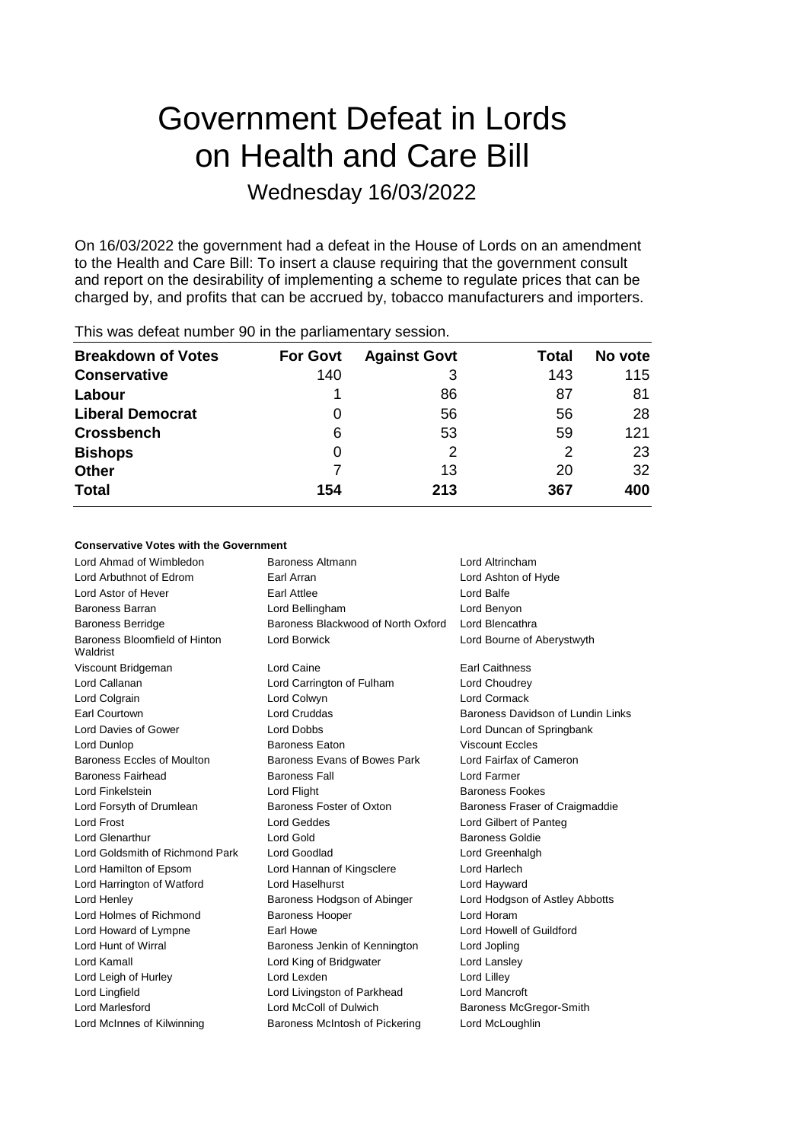# Government Defeat in Lords on Health and Care Bill

## Wednesday 16/03/2022

On 16/03/2022 the government had a defeat in the House of Lords on an amendment to the Health and Care Bill: To insert a clause requiring that the government consult and report on the desirability of implementing a scheme to regulate prices that can be charged by, and profits that can be accrued by, tobacco manufacturers and importers.

| <b>THIS WAS ACTUALTIQUIDED OF ILL LIC PAILIANTICITION</b> 9 SUSSION. |                 |                     |              |         |  |  |
|----------------------------------------------------------------------|-----------------|---------------------|--------------|---------|--|--|
| <b>Breakdown of Votes</b>                                            | <b>For Govt</b> | <b>Against Govt</b> | <b>Total</b> | No vote |  |  |
| <b>Conservative</b>                                                  | 140             |                     | 143          | 115     |  |  |
| Labour                                                               |                 | 86                  | 87           | 81      |  |  |
| <b>Liberal Democrat</b>                                              |                 | 56                  | 56           | 28      |  |  |
| <b>Crossbench</b>                                                    | 6               | 53                  | 59           | 121     |  |  |
| <b>Bishops</b>                                                       | 0               | 2                   | 2            | 23      |  |  |
| <b>Other</b>                                                         |                 | 13                  | 20           | 32      |  |  |
| <b>Total</b>                                                         | 154             | 213                 | 367          | 400     |  |  |
|                                                                      |                 |                     |              |         |  |  |

This was defeat number 90 in the parliamentary session.

### **Conservative Votes with the Government**

| Lord Ahmad of Wimbledon                   | Baroness Altmann                   | Lord Altrincham                   |
|-------------------------------------------|------------------------------------|-----------------------------------|
| Lord Arbuthnot of Edrom                   | Earl Arran                         | Lord Ashton of Hyde               |
| Lord Astor of Hever                       | Earl Attlee                        | Lord Balfe                        |
| <b>Baroness Barran</b>                    | Lord Bellingham                    | Lord Benyon                       |
| <b>Baroness Berridge</b>                  | Baroness Blackwood of North Oxford | Lord Blencathra                   |
| Baroness Bloomfield of Hinton<br>Waldrist | <b>Lord Borwick</b>                | Lord Bourne of Aberystwyth        |
| Viscount Bridgeman                        | Lord Caine                         | <b>Earl Caithness</b>             |
| Lord Callanan                             | Lord Carrington of Fulham          | Lord Choudrey                     |
| Lord Colgrain                             | Lord Colwyn                        | Lord Cormack                      |
| <b>Earl Courtown</b>                      | <b>Lord Cruddas</b>                | Baroness Davidson of Lundin Links |
| Lord Davies of Gower                      | <b>Lord Dobbs</b>                  | Lord Duncan of Springbank         |
| Lord Dunlop                               | <b>Baroness Eaton</b>              | <b>Viscount Eccles</b>            |
| Baroness Eccles of Moulton                | Baroness Evans of Bowes Park       | Lord Fairfax of Cameron           |
| <b>Baroness Fairhead</b>                  | <b>Baroness Fall</b>               | <b>Lord Farmer</b>                |
| Lord Finkelstein                          | Lord Flight                        | <b>Baroness Fookes</b>            |
| Lord Forsyth of Drumlean                  | Baroness Foster of Oxton           | Baroness Fraser of Craigmaddie    |
| Lord Frost                                | <b>Lord Geddes</b>                 | Lord Gilbert of Panteg            |
| <b>Lord Glenarthur</b>                    | Lord Gold                          | <b>Baroness Goldie</b>            |
| Lord Goldsmith of Richmond Park           | Lord Goodlad                       | Lord Greenhalgh                   |
| Lord Hamilton of Epsom                    | Lord Hannan of Kingsclere          | Lord Harlech                      |
| Lord Harrington of Watford                | Lord Haselhurst                    | Lord Hayward                      |
| Lord Henley                               | Baroness Hodgson of Abinger        | Lord Hodgson of Astley Abbotts    |
| Lord Holmes of Richmond                   | <b>Baroness Hooper</b>             | Lord Horam                        |
| Lord Howard of Lympne                     | Earl Howe                          | Lord Howell of Guildford          |
| Lord Hunt of Wirral                       | Baroness Jenkin of Kennington      | Lord Jopling                      |
| Lord Kamall                               | Lord King of Bridgwater            | Lord Lansley                      |
| Lord Leigh of Hurley                      | Lord Lexden                        | Lord Lilley                       |
| Lord Lingfield                            | Lord Livingston of Parkhead        | Lord Mancroft                     |
| <b>Lord Marlesford</b>                    | Lord McColl of Dulwich             | Baroness McGregor-Smith           |
| Lord McInnes of Kilwinning                | Baroness McIntosh of Pickering     | Lord McLoughlin                   |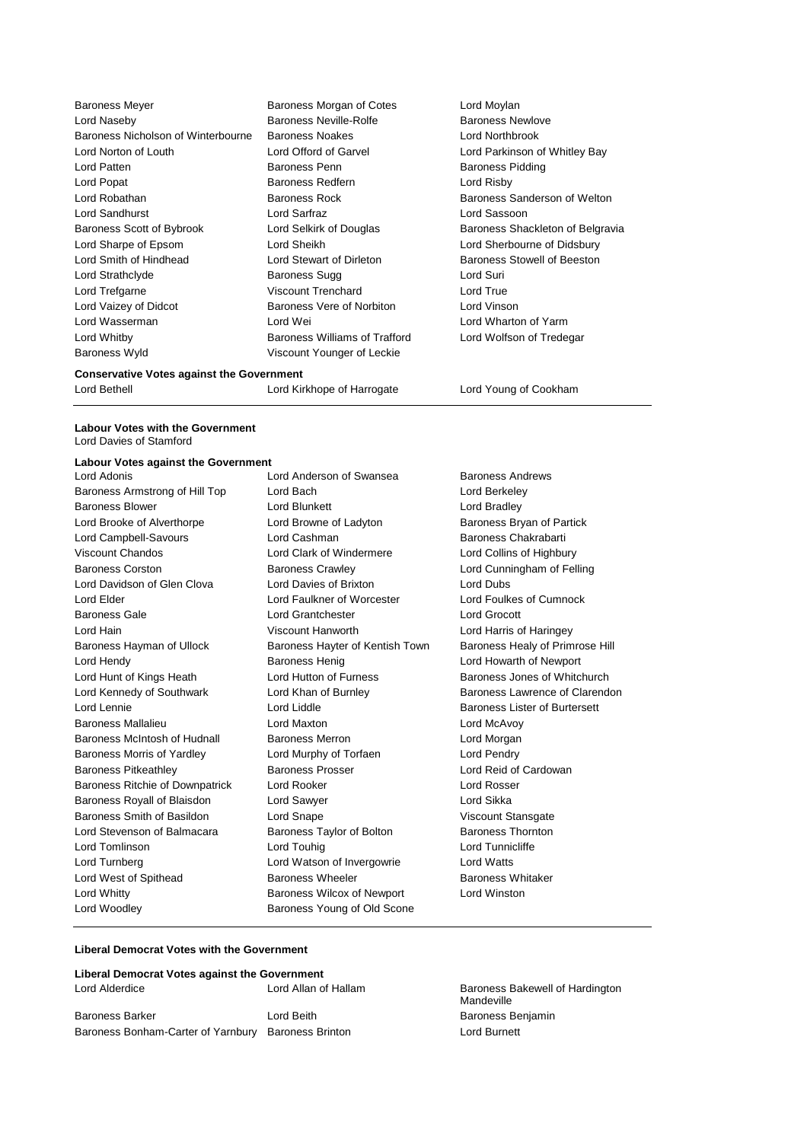| <b>Baroness Meyer</b>                   | Baroness Morgan of Cotes      | Lord Moylan                      |
|-----------------------------------------|-------------------------------|----------------------------------|
| Lord Naseby                             | Baroness Neville-Rolfe        | <b>Baroness Newlove</b>          |
| Baroness Nicholson of Winterbourne      | <b>Baroness Noakes</b>        | Lord Northbrook                  |
| Lord Norton of Louth                    | Lord Offord of Garvel         | Lord Parkinson of Whitley Bay    |
| Lord Patten                             | Baroness Penn                 | <b>Baroness Pidding</b>          |
| Lord Popat                              | Baroness Redfern              | Lord Risby                       |
| Lord Robathan                           | <b>Baroness Rock</b>          | Baroness Sanderson of Welton     |
| Lord Sandhurst                          | Lord Sarfraz                  | Lord Sassoon                     |
| Baroness Scott of Bybrook               | Lord Selkirk of Douglas       | Baroness Shackleton of Belgravia |
| Lord Sharpe of Epsom                    | Lord Sheikh                   | Lord Sherbourne of Didsbury      |
| Lord Smith of Hindhead                  | Lord Stewart of Dirleton      | Baroness Stowell of Beeston      |
| Lord Strathclyde                        | Baroness Sugg                 | Lord Suri                        |
| Lord Trefgarne                          | Viscount Trenchard            | Lord True                        |
| Lord Vaizey of Didcot                   | Baroness Vere of Norbiton     | Lord Vinson                      |
| Lord Wasserman                          | Lord Wei                      | Lord Wharton of Yarm             |
| Lord Whitby                             | Baroness Williams of Trafford | Lord Wolfson of Tredegar         |
| Baroness Wyld                           | Viscount Younger of Leckie    |                                  |
| Associated Material and the Association |                               |                                  |

**Conservative Votes against the Government**

**Labour Votes with the Government** Lord Davies of Stamford

#### **Labour Votes against the Government**

Baroness Armstrong of Hill Top Lord Bach Lord Berkeley Baroness Blower **Lord Blunkett** Lord Bradley Lord Brooke of Alverthorpe Lord Browne of Ladyton Baroness Bryan of Partick Lord Campbell-Savours Lord Cashman Baroness Chakrabarti Viscount Chandos Lord Clark of Windermere Lord Collins of Highbury Baroness Corston Baroness Crawley Lord Cunningham of Felling Lord Davidson of Glen Clova Lord Davies of Brixton Lord Dubs Lord Elder Lord Faulkner of Worcester Lord Foulkes of Cumnock Baroness Gale Lord Grantchester Lord Grocott Lord Hain Viscount Hanworth Lord Harris of Haringey Baroness Hayman of Ullock Baroness Hayter of Kentish Town Baroness Healy of Primrose Hill Lord Hendy Baroness Henig Lord Howarth of Newport Lord Hunt of Kings Heath Lord Hutton of Furness **Baroness Jones of Whitchurch** Lord Kennedy of Southwark Lord Khan of Burnley Baroness Lawrence of Clarendon Lord Lennie Lord Liddle Baroness Lister of Burtersett Baroness Mallalieu Lord Maxton Lord McAvoy Baroness McIntosh of Hudnall Baroness Merron Communication Lord Morgan Baroness Morris of Yardley Lord Murphy of Torfaen Lord Pendry Baroness Pitkeathley Baroness Prosser Lord Reid of Cardowan Baroness Ritchie of Downpatrick Lord Rooker Lord Rosser Baroness Royall of Blaisdon Lord Sawyer Lord Sikka Baroness Smith of Basildon Lord Snape Viscount Stansgate Lord Stevenson of Balmacara Baroness Taylor of Bolton Baroness Thornton Lord Tomlinson Lord Touhig Lord Tunnicliffe Lord Turnberg Lord Watson of Invergowrie Lord Watts Lord West of Spithead **Baroness Wheeler** Baroness Wheeler **Baroness Whitaker** Lord Whitty Baroness Wilcox of Newport Lord Winston Lord Woodley **Baroness Young of Old Scone** 

Lord Adonis Lord Anderson of Swansea Baroness Andrews

Lord Bethell **Lord Kirkhope of Harrogate** Lord Young of Cookham

#### **Liberal Democrat Votes with the Government**

| Liberal Democrat Votes against the Government |                     |
|-----------------------------------------------|---------------------|
| Lord Alderdice                                | Lord Allan of Halla |
|                                               |                     |

Baroness Barker **Communist Baroness Barker Lord Beith** Barchess Benjamin Baroness Bonham-Carter of Yarnbury Baroness Brinton **Lack Constants Constants Constants** Lord Burnett

m Baroness Bakewell of Hardington Mandeville